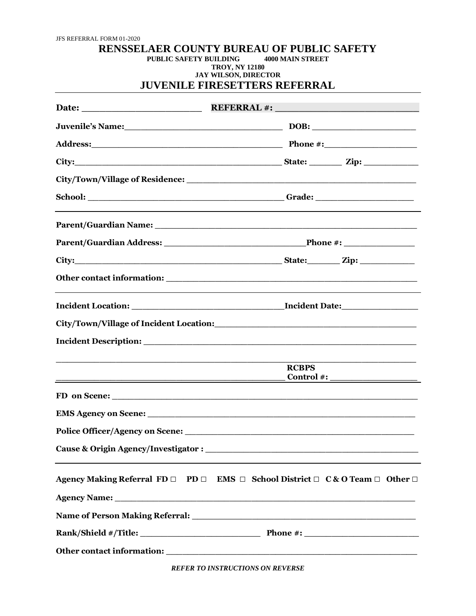## **RENSSELAER COUNTY BUREAU OF PUBLIC SAFETY PUBLIC SAFETY BUILDING TROY, NY 12180 JAY WILSON, DIRECTOR JUVENILE FIRESETTERS REFERRAL**

|                                                                                                                                                                                                                                | City: $\qquad \qquad \text{City:} \qquad \qquad \text{Lip:}$                                                |
|--------------------------------------------------------------------------------------------------------------------------------------------------------------------------------------------------------------------------------|-------------------------------------------------------------------------------------------------------------|
|                                                                                                                                                                                                                                |                                                                                                             |
|                                                                                                                                                                                                                                |                                                                                                             |
|                                                                                                                                                                                                                                |                                                                                                             |
|                                                                                                                                                                                                                                |                                                                                                             |
|                                                                                                                                                                                                                                |                                                                                                             |
|                                                                                                                                                                                                                                |                                                                                                             |
|                                                                                                                                                                                                                                |                                                                                                             |
|                                                                                                                                                                                                                                |                                                                                                             |
|                                                                                                                                                                                                                                |                                                                                                             |
|                                                                                                                                                                                                                                | <b>RCBPS</b><br>$\frac{1}{2}$ Control #:                                                                    |
|                                                                                                                                                                                                                                |                                                                                                             |
|                                                                                                                                                                                                                                |                                                                                                             |
|                                                                                                                                                                                                                                |                                                                                                             |
| Cause & Origin Agency/Investigator :                                                                                                                                                                                           |                                                                                                             |
|                                                                                                                                                                                                                                | Agency Making Referral FD $\Box$ PD $\Box$ EMS $\Box$ School District $\Box$ C & O Team $\Box$ Other $\Box$ |
| Agency Name: 1988 and 2008 and 2008 and 2008 and 2008 and 2008 and 2008 and 2008 and 2008 and 2008 and 2008 and 2008 and 2008 and 2008 and 2008 and 2008 and 2008 and 2008 and 2008 and 2008 and 2008 and 2008 and 2008 and 20 |                                                                                                             |
|                                                                                                                                                                                                                                |                                                                                                             |
|                                                                                                                                                                                                                                |                                                                                                             |
|                                                                                                                                                                                                                                |                                                                                                             |

*REFER TO INSTRUCTIONS ON REVERSE*